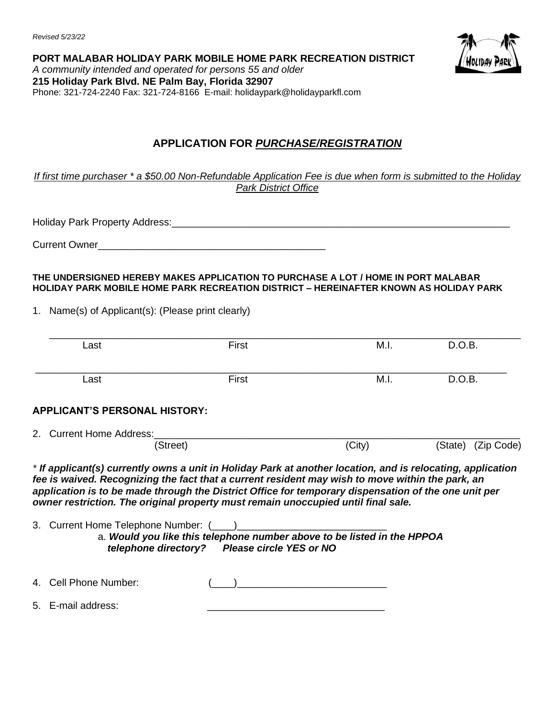*Revised 5/23/22*



**PORT MALABAR HOLIDAY PARK MOBILE HOME PARK RECREATION DISTRICT** *A community intended and operated for persons 55 and older* **215 Holiday Park Blvd. NE Palm Bay, Florida 32907** Phone: 321-724-2240 Fax: 321-724-8166 E-mail: holidaypark@holidayparkfl.com

## **APPLICATION FOR** *PURCHASE/REGISTRATION*

*If first time purchaser \* a \$50.00 Non-Refundable Application Fee is due when form is submitted to the Holiday Park District Office*

Holiday Park Property Address:\_\_\_\_\_\_\_\_\_\_\_\_\_\_\_\_\_\_\_\_\_\_\_\_\_\_\_\_\_\_\_\_\_\_\_\_\_\_\_\_\_\_\_\_\_\_\_\_\_\_\_\_\_\_\_\_\_\_\_\_\_

Current Owner

#### **THE UNDERSIGNED HEREBY MAKES APPLICATION TO PURCHASE A LOT / HOME IN PORT MALABAR HOLIDAY PARK MOBILE HOME PARK RECREATION DISTRICT – HEREINAFTER KNOWN AS HOLIDAY PARK**

1. Name(s) of Applicant(s): (Please print clearly)

| Last                                                                                                                                                                                                                                                                                          | First                                                                                                                   | M.I.   | D.O.B.                |
|-----------------------------------------------------------------------------------------------------------------------------------------------------------------------------------------------------------------------------------------------------------------------------------------------|-------------------------------------------------------------------------------------------------------------------------|--------|-----------------------|
| Last                                                                                                                                                                                                                                                                                          | First                                                                                                                   | M.I.   | D.O.B.                |
| <b>APPLICANT'S PERSONAL HISTORY:</b>                                                                                                                                                                                                                                                          |                                                                                                                         |        |                       |
| 2. Current Home Address:                                                                                                                                                                                                                                                                      |                                                                                                                         |        |                       |
|                                                                                                                                                                                                                                                                                               | (Street)                                                                                                                | (City) | (Zip Code)<br>(State) |
| fee is waived. Recognizing the fact that a current resident may wish to move within the park, an<br>application is to be made through the District Office for temporary dispensation of the one unit per<br>owner restriction. The original property must remain unoccupied until final sale. |                                                                                                                         |        |                       |
| 3. Current Home Telephone Number: (                                                                                                                                                                                                                                                           | a. Would you like this telephone number above to be listed in the HPPOA<br>telephone directory? Please circle YES or NO |        |                       |
| 4. Cell Phone Number:                                                                                                                                                                                                                                                                         |                                                                                                                         |        |                       |
|                                                                                                                                                                                                                                                                                               |                                                                                                                         |        |                       |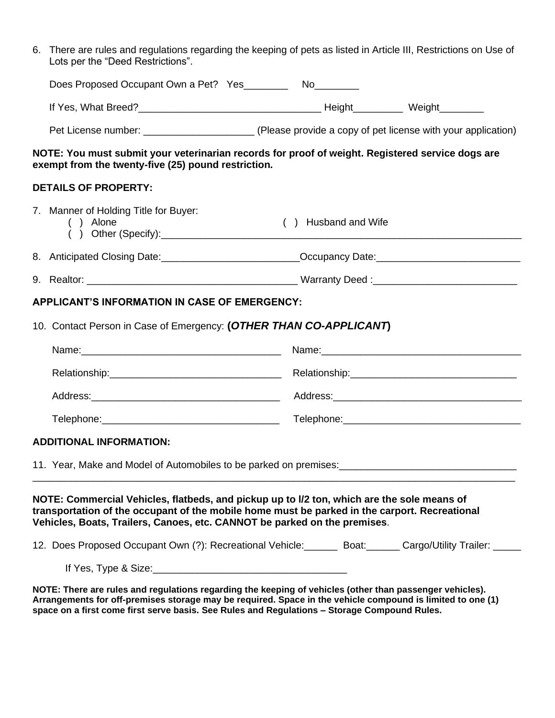| 6. There are rules and regulations regarding the keeping of pets as listed in Article III, Restrictions on Use of<br>Lots per the "Deed Restrictions".                                                                                                                   |  |                     |  |  |
|--------------------------------------------------------------------------------------------------------------------------------------------------------------------------------------------------------------------------------------------------------------------------|--|---------------------|--|--|
| Does Proposed Occupant Own a Pet? Yes____________ No_________                                                                                                                                                                                                            |  |                     |  |  |
|                                                                                                                                                                                                                                                                          |  |                     |  |  |
|                                                                                                                                                                                                                                                                          |  |                     |  |  |
| NOTE: You must submit your veterinarian records for proof of weight. Registered service dogs are<br>exempt from the twenty-five (25) pound restriction.                                                                                                                  |  |                     |  |  |
| <b>DETAILS OF PROPERTY:</b>                                                                                                                                                                                                                                              |  |                     |  |  |
| 7. Manner of Holding Title for Buyer:<br>( ) Alone                                                                                                                                                                                                                       |  | () Husband and Wife |  |  |
|                                                                                                                                                                                                                                                                          |  |                     |  |  |
|                                                                                                                                                                                                                                                                          |  |                     |  |  |
| <b>APPLICANT'S INFORMATION IN CASE OF EMERGENCY:</b>                                                                                                                                                                                                                     |  |                     |  |  |
| 10. Contact Person in Case of Emergency: (OTHER THAN CO-APPLICANT)                                                                                                                                                                                                       |  |                     |  |  |
|                                                                                                                                                                                                                                                                          |  |                     |  |  |
|                                                                                                                                                                                                                                                                          |  |                     |  |  |
|                                                                                                                                                                                                                                                                          |  |                     |  |  |
|                                                                                                                                                                                                                                                                          |  |                     |  |  |
| <b>ADDITIONAL INFORMATION:</b>                                                                                                                                                                                                                                           |  |                     |  |  |
| 11. Year, Make and Model of Automobiles to be parked on premises: [100] [2012] [2012] [2012] [2012] [2012] [20                                                                                                                                                           |  |                     |  |  |
| NOTE: Commercial Vehicles, flatbeds, and pickup up to I/2 ton, which are the sole means of<br>transportation of the occupant of the mobile home must be parked in the carport. Recreational<br>Vehicles, Boats, Trailers, Canoes, etc. CANNOT be parked on the premises. |  |                     |  |  |
| 12. Does Proposed Occupant Own (?): Recreational Vehicle: Boat: Cargo/Utility Trailer: ____                                                                                                                                                                              |  |                     |  |  |
|                                                                                                                                                                                                                                                                          |  |                     |  |  |

**NOTE: There are rules and regulations regarding the keeping of vehicles (other than passenger vehicles). Arrangements for off-premises storage may be required. Space in the vehicle compound is limited to one (1) space on a first come first serve basis. See Rules and Regulations – Storage Compound Rules.**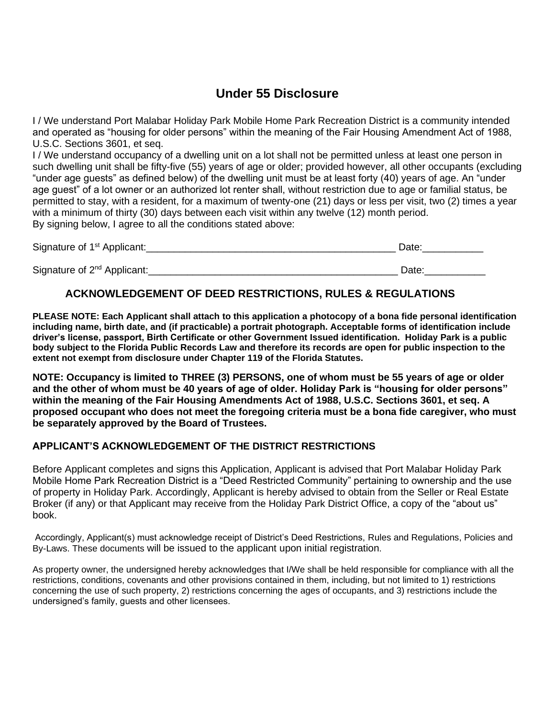## **Under 55 Disclosure**

I / We understand Port Malabar Holiday Park Mobile Home Park Recreation District is a community intended and operated as "housing for older persons" within the meaning of the Fair Housing Amendment Act of 1988, U.S.C. Sections 3601, et seq.

I / We understand occupancy of a dwelling unit on a lot shall not be permitted unless at least one person in such dwelling unit shall be fifty-five (55) years of age or older; provided however, all other occupants (excluding "under age guests" as defined below) of the dwelling unit must be at least forty (40) years of age. An "under age guest" of a lot owner or an authorized lot renter shall, without restriction due to age or familial status, be permitted to stay, with a resident, for a maximum of twenty-one (21) days or less per visit, two (2) times a year with a minimum of thirty (30) days between each visit within any twelve (12) month period. By signing below, I agree to all the conditions stated above:

| Signature of 1 <sup>st</sup> Applicant: | Date: |
|-----------------------------------------|-------|
| Signature of 2 <sup>nd</sup> Applicant: | Date: |

### **ACKNOWLEDGEMENT OF DEED RESTRICTIONS, RULES & REGULATIONS**

**PLEASE NOTE: Each Applicant shall attach to this application a photocopy of a bona fide personal identification including name, birth date, and (if practicable) a portrait photograph. Acceptable forms of identification include driver's license, passport, Birth Certificate or other Government Issued identification. Holiday Park is a public body subject to the Florida Public Records Law and therefore its records are open for public inspection to the extent not exempt from disclosure under Chapter 119 of the Florida Statutes.**

**NOTE: Occupancy is limited to THREE (3) PERSONS, one of whom must be 55 years of age or older and the other of whom must be 40 years of age of older. Holiday Park is "housing for older persons" within the meaning of the Fair Housing Amendments Act of 1988, U.S.C. Sections 3601, et seq. A proposed occupant who does not meet the foregoing criteria must be a bona fide caregiver, who must be separately approved by the Board of Trustees.** 

### **APPLICANT'S ACKNOWLEDGEMENT OF THE DISTRICT RESTRICTIONS**

Before Applicant completes and signs this Application, Applicant is advised that Port Malabar Holiday Park Mobile Home Park Recreation District is a "Deed Restricted Community" pertaining to ownership and the use of property in Holiday Park. Accordingly, Applicant is hereby advised to obtain from the Seller or Real Estate Broker (if any) or that Applicant may receive from the Holiday Park District Office, a copy of the "about us" book.

Accordingly, Applicant(s) must acknowledge receipt of District's Deed Restrictions, Rules and Regulations, Policies and By-Laws. These documents will be issued to the applicant upon initial registration.

As property owner, the undersigned hereby acknowledges that I/We shall be held responsible for compliance with all the restrictions, conditions, covenants and other provisions contained in them, including, but not limited to 1) restrictions concerning the use of such property, 2) restrictions concerning the ages of occupants, and 3) restrictions include the undersigned's family, guests and other licensees.